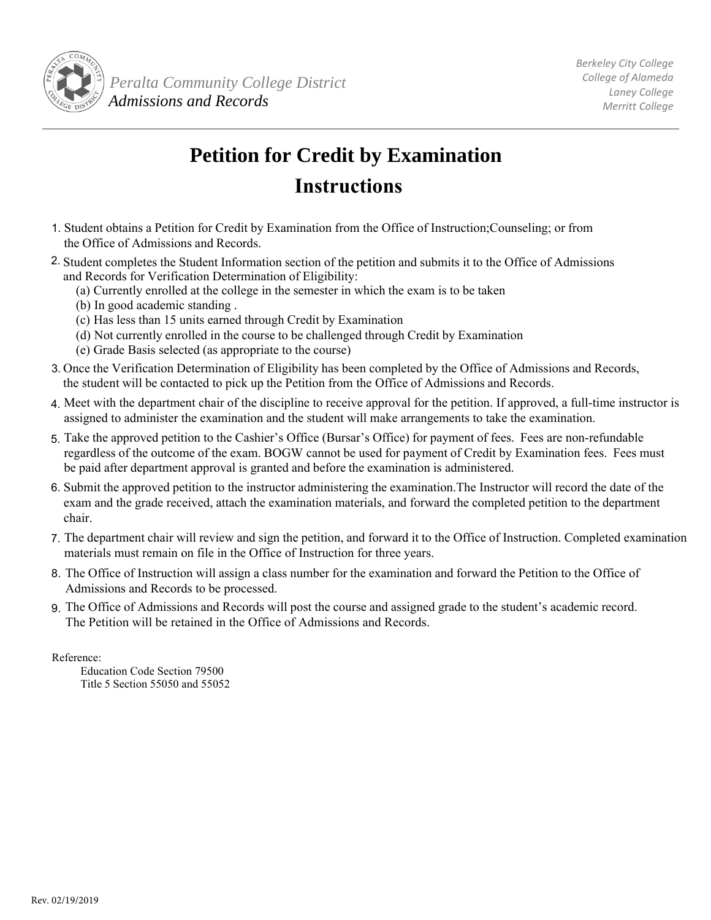

## **Petition for Credit by Examination Instructions**

- 1. Student obtains a Petition for Credit by Examination from the Office of Instruction;Counseling; or from the Office of Admissions and Records.
- 2. Student completes the Student Information section of the petition and submits it to the Office of Admissions and Records for Verification Determination of Eligibility:
	- (a) Currently enrolled at the college in the semester in which the exam is to be taken
	- (b) In good academic standing .
	- (c) Has less than 15 units earned through Credit by Examination
	- (d) Not currently enrolled in the course to be challenged through Credit by Examination
	- (e) Grade Basis selected (as appropriate to the course)
- 3. Once the Verification Determination of Eligibility has been completed by the Office of Admissions and Records, the student will be contacted to pick up the Petition from the Office of Admissions and Records.
- 4. Meet with the department chair of the discipline to receive approval for the petition. If approved, a full-time instructor is assigned to administer the examination and the student will make arrangements to take the examination.
- 5. Take the approved petition to the Cashier's Office (Bursar's Office) for payment of fees. Fees are non-refundable regardless of the outcome of the exam. BOGW cannot be used for payment of Credit by Examination fees. Fees must be paid after department approval is granted and before the examination is administered.
- 6. Submit the approved petition to the instructor administering the examination.The Instructor will record the date of the exam and the grade received, attach the examination materials, and forward the completed petition to the department chair.
- 7. The department chair will review and sign the petition, and forward it to the Office of Instruction. Completed examination materials must remain on file in the Office of Instruction for three years.
- 8. The Office of Instruction will assign a class number for the examination and forward the Petition to the Office of Admissions and Records to be processed.
- 9. The Office of Admissions and Records will post the course and assigned grade to the student's academic record. The Petition will be retained in the Office of Admissions and Records.

Reference:

Education Code Section 79500 Title 5 Section 55050 and 55052